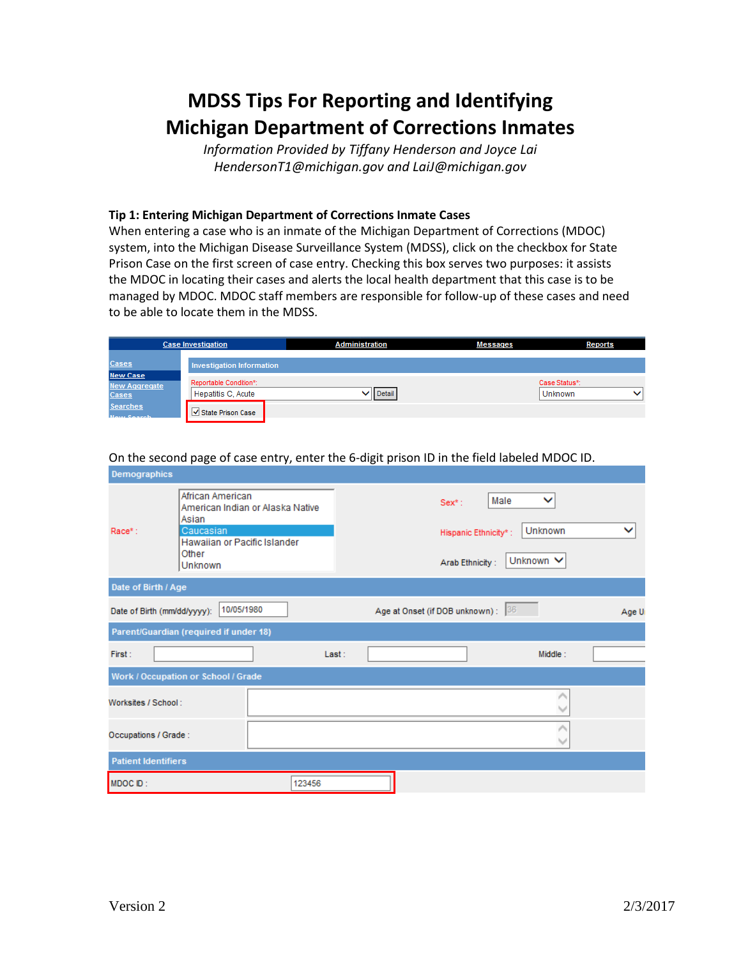# **MDSS Tips For Reporting and Identifying Michigan Department of Corrections Inmates**

*Information Provided by Tiffany Henderson and Joyce Lai HendersonT1@michigan.gov and LaiJ@michigan.gov*

## **Tip 1: Entering Michigan Department of Corrections Inmate Cases**

When entering a case who is an inmate of the Michigan Department of Corrections (MDOC) system, into the Michigan Disease Surveillance System (MDSS), click on the checkbox for State Prison Case on the first screen of case entry. Checking this box serves two purposes: it assists the MDOC in locating their cases and alerts the local health department that this case is to be managed by MDOC. MDOC staff members are responsible for follow-up of these cases and need to be able to locate them in the MDSS.

| <b>Case Investigation</b>                               |                                              | <b>Administration</b> | <b>Messages</b> | Reports                       |
|---------------------------------------------------------|----------------------------------------------|-----------------------|-----------------|-------------------------------|
| <b>Cases</b>                                            | <b>Investigation Information</b>             |                       |                 |                               |
| <b>New Case</b><br><b>New Aggregate</b><br><b>Cases</b> | Reportable Condition*:<br>Hepatitis C, Acute | Detail                |                 | Case Status*:<br>◡<br>Unknown |
| <b>Searches</b><br><b>Naw Search</b>                    | √ State Prison Case                          |                       |                 |                               |

| Demographics                        |                                                                                                                                |        |                                                      |                                   |              |
|-------------------------------------|--------------------------------------------------------------------------------------------------------------------------------|--------|------------------------------------------------------|-----------------------------------|--------------|
| $Race^*:$                           | African American<br>American Indian or Alaska Native<br>Asian<br>Caucasian<br>Hawaiian or Pacific Islander<br>Other<br>Unknown |        | $Sex^*$ :<br>Hispanic Ethnicity*:<br>Arab Ethnicity: | Male<br>◡<br>Unknown<br>Unknown V | $\checkmark$ |
| Date of Birth / Age                 |                                                                                                                                |        |                                                      |                                   |              |
| Date of Birth (mm/dd/yyyy):         | 10/05/1980                                                                                                                     |        | Age at Onset (if DOB unknown) : 36                   |                                   | Age U        |
|                                     | Parent/Guardian (required if under 18)                                                                                         |        |                                                      |                                   |              |
| First:                              |                                                                                                                                | Last:  |                                                      | Middle:                           |              |
| Work / Occupation or School / Grade |                                                                                                                                |        |                                                      |                                   |              |
| Worksites / School:                 |                                                                                                                                |        |                                                      |                                   |              |
| Occupations / Grade:                |                                                                                                                                |        |                                                      |                                   |              |
| <b>Patient Identifiers</b>          |                                                                                                                                |        |                                                      |                                   |              |
| MDOC ID:                            |                                                                                                                                | 123456 |                                                      |                                   |              |

On the second page of case entry, enter the 6-digit prison ID in the field labeled MDOC ID.